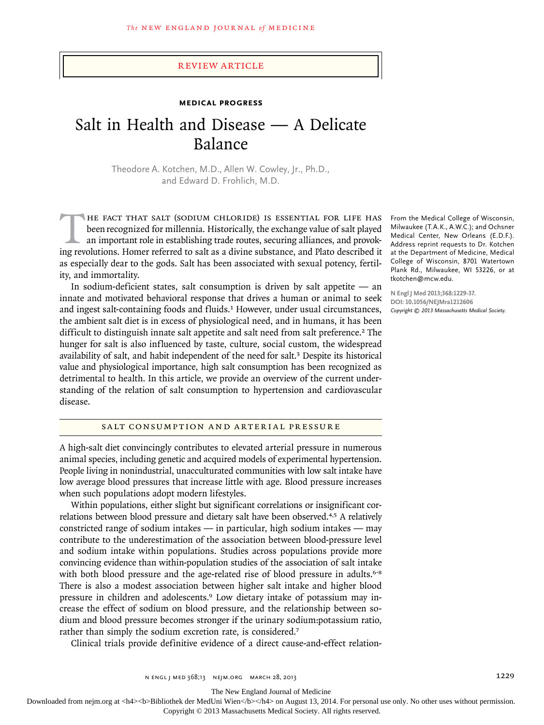## Review article

# **Medical Progress**

# Salt in Health and Disease — A Delicate Balance

Theodore A. Kotchen, M.D., Allen W. Cowley, Jr., Ph.D., and Edward D. Frohlich, M.D.

HE FACT THAT SALT (SODIUM CHLORIDE) IS ESSENTIAL FOR LIFE HAS<br>been recognized for millennia. Historically, the exchange value of salt played<br>an important role in establishing trade routes, securing alliances, and provok-<br>i been recognized for millennia. Historically, the exchange value of salt played an important role in establishing trade routes, securing alliances, and provoking revolutions. Homer referred to salt as a divine substance, and Plato described it as especially dear to the gods. Salt has been associated with sexual potency, fertility, and immortality.

In sodium-deficient states, salt consumption is driven by salt appetite — an innate and motivated behavioral response that drives a human or animal to seek and ingest salt-containing foods and fluids.<sup>1</sup> However, under usual circumstances, the ambient salt diet is in excess of physiological need, and in humans, it has been difficult to distinguish innate salt appetite and salt need from salt preference.<sup>2</sup> The hunger for salt is also influenced by taste, culture, social custom, the widespread availability of salt, and habit independent of the need for salt.<sup>3</sup> Despite its historical value and physiological importance, high salt consumption has been recognized as detrimental to health. In this article, we provide an overview of the current understanding of the relation of salt consumption to hypertension and cardiovascular disease.

SALT CONSUMPTION AND ARTERIAL PRESSURE

A high-salt diet convincingly contributes to elevated arterial pressure in numerous animal species, including genetic and acquired models of experimental hypertension. People living in nonindustrial, unacculturated communities with low salt intake have low average blood pressures that increase little with age. Blood pressure increases when such populations adopt modern lifestyles.

Within populations, either slight but significant correlations or insignificant correlations between blood pressure and dietary salt have been observed.4,5 A relatively constricted range of sodium intakes — in particular, high sodium intakes — may contribute to the underestimation of the association between blood-pressure level and sodium intake within populations. Studies across populations provide more convincing evidence than within-population studies of the association of salt intake with both blood pressure and the age-related rise of blood pressure in adults.<sup>6-8</sup> There is also a modest association between higher salt intake and higher blood pressure in children and adolescents.9 Low dietary intake of potassium may increase the effect of sodium on blood pressure, and the relationship between sodium and blood pressure becomes stronger if the urinary sodium:potassium ratio, rather than simply the sodium excretion rate, is considered.<sup>7</sup>

Clinical trials provide definitive evidence of a direct cause-and-effect relation-

From the Medical College of Wisconsin, Milwaukee (T.A.K., A.W.C.); and Ochsner Medical Center, New Orleans (E.D.F.). Address reprint requests to Dr. Kotchen at the Department of Medicine, Medical College of Wisconsin, 8701 Watertown Plank Rd., Milwaukee, WI 53226, or at tkotchen@mcw.edu.

**N Engl J Med 2013;368:1229-37. DOI: 10.1056/NEJMra1212606** *Copyright © 2013 Massachusetts Medical Society.*

The New England Journal of Medicine

Downloaded from nejm.org at <h4><b>Bibliothek der MedUni Wien</b>></h4> on August 13, 2014. For personal use only. No other uses without permission. Copyright © 2013 Massachusetts Medical Society. All rights reserved.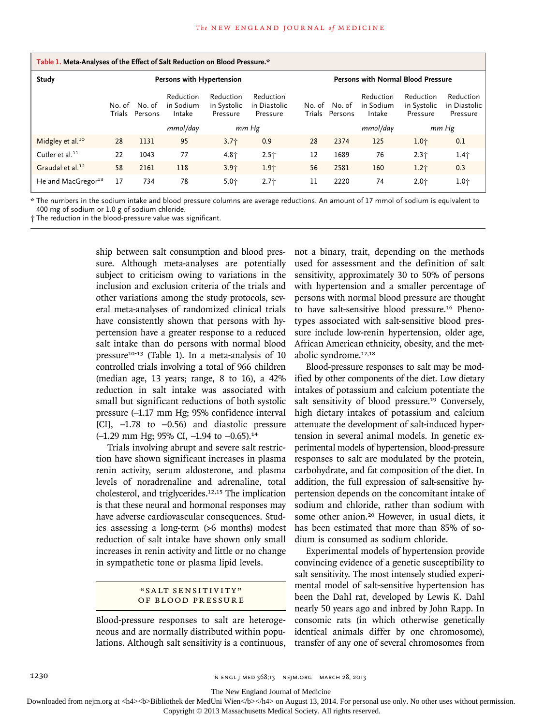| Table 1. Meta-Analyses of the Effect of Salt Reduction on Blood Pressure.* |                           |                          |                                  |                                      |                                       |                                    |                          |                                  |                                      |                                       |
|----------------------------------------------------------------------------|---------------------------|--------------------------|----------------------------------|--------------------------------------|---------------------------------------|------------------------------------|--------------------------|----------------------------------|--------------------------------------|---------------------------------------|
| Study                                                                      | Persons with Hypertension |                          |                                  |                                      |                                       | Persons with Normal Blood Pressure |                          |                                  |                                      |                                       |
|                                                                            | Trials                    | No. of No. of<br>Persons | Reduction<br>in Sodium<br>Intake | Reduction<br>in Systolic<br>Pressure | Reduction<br>in Diastolic<br>Pressure | Trials                             | No. of No. of<br>Persons | Reduction<br>in Sodium<br>Intake | Reduction<br>in Systolic<br>Pressure | Reduction<br>in Diastolic<br>Pressure |
|                                                                            |                           |                          | mmol/day                         | mm Hg                                |                                       |                                    | $mmol$ /day              |                                  | mm Hg                                |                                       |
| Midgley et al. <sup>10</sup>                                               | 28                        | 1131                     | 95                               | 3.7 <sub>1</sub>                     | 0.9                                   | 28                                 | 2374                     | 125                              | $1.0 +$                              | 0.1                                   |
| Cutler et al. $^{11}$                                                      | 22                        | 1043                     | 77                               | $4.8 +$                              | $2.5+$                                | 12                                 | 1689                     | 76                               | 2.3 <sub>1</sub>                     | $1.4 +$                               |
| Graudal et al. <sup>12</sup>                                               | 58                        | 2161                     | 118                              | 3.9 <sub>1</sub>                     | 1.9 <sub>1</sub>                      | 56                                 | 2581                     | 160                              | 1.2 <sub>1</sub>                     | 0.3                                   |
| He and MacGregor <sup>13</sup>                                             | 17                        | 734                      | 78                               | $5.0 +$                              | 2.7 <sub>1</sub>                      | 11                                 | 2220                     | 74                               | $2.0 +$                              | 1.0†                                  |

\* The numbers in the sodium intake and blood pressure columns are average reductions. An amount of 17 mmol of sodium is equivalent to 400 mg of sodium or 1.0 g of sodium chloride.

† The reduction in the blood-pressure value was significant.

ship between salt consumption and blood pressure. Although meta-analyses are potentially subject to criticism owing to variations in the inclusion and exclusion criteria of the trials and other variations among the study protocols, several meta-analyses of randomized clinical trials have consistently shown that persons with hypertension have a greater response to a reduced salt intake than do persons with normal blood pressure<sup>10-13</sup> (Table 1). In a meta-analysis of 10 controlled trials involving a total of 966 children (median age, 13 years; range, 8 to 16), a 42% reduction in salt intake was associated with small but significant reductions of both systolic pressure (−1.17 mm Hg; 95% confidence interval [CI], −1.78 to −0.56) and diastolic pressure (−1.29 mm Hg; 95% CI, −1.94 to −0.65).<sup>14</sup>

Trials involving abrupt and severe salt restriction have shown significant increases in plasma renin activity, serum aldosterone, and plasma levels of noradrenaline and adrenaline, total cholesterol, and triglycerides.12,15 The implication is that these neural and hormonal responses may have adverse cardiovascular consequences. Studies assessing a long-term (>6 months) modest reduction of salt intake have shown only small increases in renin activity and little or no change in sympathetic tone or plasma lipid levels.

## "SALT SENSITIVITY" OF BLOOD PRESSURE

Blood-pressure responses to salt are heterogeneous and are normally distributed within populations. Although salt sensitivity is a continuous, not a binary, trait, depending on the methods used for assessment and the definition of salt sensitivity, approximately 30 to 50% of persons with hypertension and a smaller percentage of persons with normal blood pressure are thought to have salt-sensitive blood pressure.16 Phenotypes associated with salt-sensitive blood pressure include low-renin hypertension, older age, African American ethnicity, obesity, and the metabolic syndrome.17,18

Blood-pressure responses to salt may be modified by other components of the diet. Low dietary intakes of potassium and calcium potentiate the salt sensitivity of blood pressure.<sup>19</sup> Conversely, high dietary intakes of potassium and calcium attenuate the development of salt-induced hypertension in several animal models. In genetic experimental models of hypertension, blood-pressure responses to salt are modulated by the protein, carbohydrate, and fat composition of the diet. In addition, the full expression of salt-sensitive hypertension depends on the concomitant intake of sodium and chloride, rather than sodium with some other anion.<sup>20</sup> However, in usual diets, it has been estimated that more than 85% of sodium is consumed as sodium chloride.

Experimental models of hypertension provide convincing evidence of a genetic susceptibility to salt sensitivity. The most intensely studied experimental model of salt-sensitive hypertension has been the Dahl rat, developed by Lewis K. Dahl nearly 50 years ago and inbred by John Rapp. In consomic rats (in which otherwise genetically identical animals differ by one chromosome), transfer of any one of several chromosomes from

The New England Journal of Medicine

Downloaded from nejm.org at <h4><b>Bibliothek der MedUni Wien</b>></h4> on August 13, 2014. For personal use only. No other uses without permission.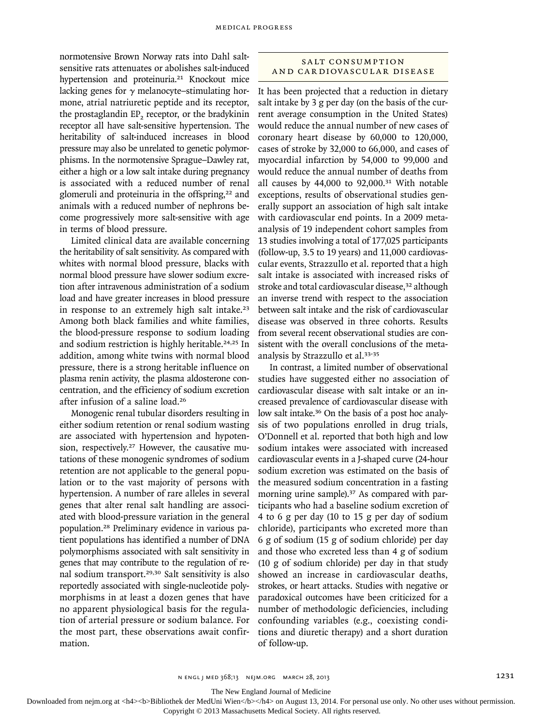normotensive Brown Norway rats into Dahl saltsensitive rats attenuates or abolishes salt-induced hypertension and proteinuria.<sup>21</sup> Knockout mice lacking genes for  $\gamma$  melanocyte–stimulating hormone, atrial natriuretic peptide and its receptor, the prostaglandin EP<sub>2</sub> receptor, or the bradykinin receptor all have salt-sensitive hypertension. The heritability of salt-induced increases in blood pressure may also be unrelated to genetic polymorphisms. In the normotensive Sprague–Dawley rat, either a high or a low salt intake during pregnancy is associated with a reduced number of renal glomeruli and proteinuria in the offspring,<sup>22</sup> and animals with a reduced number of nephrons become progressively more salt-sensitive with age in terms of blood pressure.

Limited clinical data are available concerning the heritability of salt sensitivity. As compared with whites with normal blood pressure, blacks with normal blood pressure have slower sodium excretion after intravenous administration of a sodium load and have greater increases in blood pressure in response to an extremely high salt intake.<sup>23</sup> Among both black families and white families, the blood-pressure response to sodium loading and sodium restriction is highly heritable.<sup>24,25</sup> In addition, among white twins with normal blood pressure, there is a strong heritable influence on plasma renin activity, the plasma aldosterone concentration, and the efficiency of sodium excretion after infusion of a saline load.<sup>26</sup>

Monogenic renal tubular disorders resulting in either sodium retention or renal sodium wasting are associated with hypertension and hypotension, respectively.<sup>27</sup> However, the causative mutations of these monogenic syndromes of sodium retention are not applicable to the general population or to the vast majority of persons with hypertension. A number of rare alleles in several genes that alter renal salt handling are associated with blood-pressure variation in the general population.28 Preliminary evidence in various patient populations has identified a number of DNA polymorphisms associated with salt sensitivity in genes that may contribute to the regulation of renal sodium transport.29,30 Salt sensitivity is also reportedly associated with single-nucleotide polymorphisms in at least a dozen genes that have no apparent physiological basis for the regulation of arterial pressure or sodium balance. For the most part, these observations await confirmation.

# SALT CONSUMPTION AND CARDIOVASCULAR DISEASE

It has been projected that a reduction in dietary salt intake by 3 g per day (on the basis of the current average consumption in the United States) would reduce the annual number of new cases of coronary heart disease by 60,000 to 120,000, cases of stroke by 32,000 to 66,000, and cases of myocardial infarction by 54,000 to 99,000 and would reduce the annual number of deaths from all causes by 44,000 to 92,000.31 With notable exceptions, results of observational studies generally support an association of high salt intake with cardiovascular end points. In a 2009 metaanalysis of 19 independent cohort samples from 13 studies involving a total of 177,025 participants (follow-up, 3.5 to 19 years) and 11,000 cardiovascular events, Strazzullo et al. reported that a high salt intake is associated with increased risks of stroke and total cardiovascular disease,<sup>32</sup> although an inverse trend with respect to the association between salt intake and the risk of cardiovascular disease was observed in three cohorts. Results from several recent observational studies are consistent with the overall conclusions of the metaanalysis by Strazzullo et al.33-35

In contrast, a limited number of observational studies have suggested either no association of cardiovascular disease with salt intake or an increased prevalence of cardiovascular disease with low salt intake.36 On the basis of a post hoc analysis of two populations enrolled in drug trials, O'Donnell et al. reported that both high and low sodium intakes were associated with increased cardiovascular events in a J-shaped curve (24-hour sodium excretion was estimated on the basis of the measured sodium concentration in a fasting morning urine sample).<sup>37</sup> As compared with participants who had a baseline sodium excretion of 4 to 6 g per day (10 to 15 g per day of sodium chloride), participants who excreted more than 6 g of sodium (15 g of sodium chloride) per day and those who excreted less than 4 g of sodium (10 g of sodium chloride) per day in that study showed an increase in cardiovascular deaths, strokes, or heart attacks. Studies with negative or paradoxical outcomes have been criticized for a number of methodologic deficiencies, including confounding variables (e.g., coexisting conditions and diuretic therapy) and a short duration of follow-up.

The New England Journal of Medicine

Downloaded from nejm.org at <h4><b>Bibliothek der MedUni Wien</b>></h4> on August 13, 2014. For personal use only. No other uses without permission.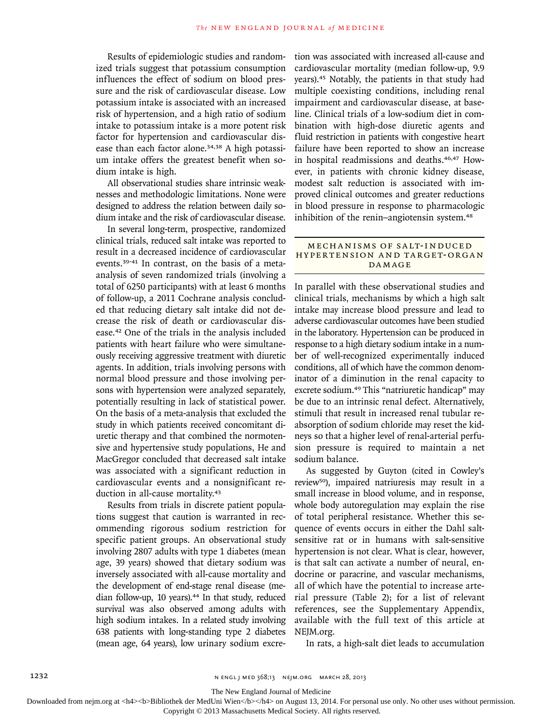Results of epidemiologic studies and randomized trials suggest that potassium consumption influences the effect of sodium on blood pressure and the risk of cardiovascular disease. Low potassium intake is associated with an increased risk of hypertension, and a high ratio of sodium intake to potassium intake is a more potent risk factor for hypertension and cardiovascular disease than each factor alone.<sup>34,38</sup> A high potassium intake offers the greatest benefit when sodium intake is high.

All observational studies share intrinsic weaknesses and methodologic limitations. None were designed to address the relation between daily sodium intake and the risk of cardiovascular disease.

In several long-term, prospective, randomized clinical trials, reduced salt intake was reported to result in a decreased incidence of cardiovascular events.39-41 In contrast, on the basis of a metaanalysis of seven randomized trials (involving a total of 6250 participants) with at least 6 months of follow-up, a 2011 Cochrane analysis concluded that reducing dietary salt intake did not decrease the risk of death or cardiovascular disease.42 One of the trials in the analysis included patients with heart failure who were simultaneously receiving aggressive treatment with diuretic agents. In addition, trials involving persons with normal blood pressure and those involving persons with hypertension were analyzed separately, potentially resulting in lack of statistical power. On the basis of a meta-analysis that excluded the study in which patients received concomitant diuretic therapy and that combined the normotensive and hypertensive study populations, He and MacGregor concluded that decreased salt intake was associated with a significant reduction in cardiovascular events and a nonsignificant reduction in all-cause mortality.<sup>43</sup>

Results from trials in discrete patient populations suggest that caution is warranted in recommending rigorous sodium restriction for specific patient groups. An observational study involving 2807 adults with type 1 diabetes (mean age, 39 years) showed that dietary sodium was inversely associated with all-cause mortality and the development of end-stage renal disease (median follow-up, 10 years).<sup>44</sup> In that study, reduced survival was also observed among adults with high sodium intakes. In a related study involving 638 patients with long-standing type 2 diabetes (mean age, 64 years), low urinary sodium excretion was associated with increased all-cause and cardiovascular mortality (median follow-up, 9.9 years).45 Notably, the patients in that study had multiple coexisting conditions, including renal impairment and cardiovascular disease, at baseline. Clinical trials of a low-sodium diet in combination with high-dose diuretic agents and fluid restriction in patients with congestive heart failure have been reported to show an increase in hospital readmissions and deaths.46,47 However, in patients with chronic kidney disease, modest salt reduction is associated with improved clinical outcomes and greater reductions in blood pressure in response to pharmacologic inhibition of the renin–angiotensin system.<sup>48</sup>

## MECHANISMS OF SALT-INDUCED HYPERTENSION AND TARGET-ORGAN DA M AGE

In parallel with these observational studies and clinical trials, mechanisms by which a high salt intake may increase blood pressure and lead to adverse cardiovascular outcomes have been studied in the laboratory. Hypertension can be produced in response to a high dietary sodium intake in a number of well-recognized experimentally induced conditions, all of which have the common denominator of a diminution in the renal capacity to excrete sodium.49 This "natriuretic handicap" may be due to an intrinsic renal defect. Alternatively, stimuli that result in increased renal tubular reabsorption of sodium chloride may reset the kidneys so that a higher level of renal-arterial perfusion pressure is required to maintain a net sodium balance.

As suggested by Guyton (cited in Cowley's review50), impaired natriuresis may result in a small increase in blood volume, and in response, whole body autoregulation may explain the rise of total peripheral resistance. Whether this sequence of events occurs in either the Dahl saltsensitive rat or in humans with salt-sensitive hypertension is not clear. What is clear, however, is that salt can activate a number of neural, endocrine or paracrine, and vascular mechanisms, all of which have the potential to increase arterial pressure (Table 2); for a list of relevant references, see the Supplementary Appendix, available with the full text of this article at NEJM.org.

In rats, a high-salt diet leads to accumulation

The New England Journal of Medicine

Downloaded from nejm.org at <h4><b>Bibliothek der MedUni Wien</b>></h4> on August 13, 2014. For personal use only. No other uses without permission.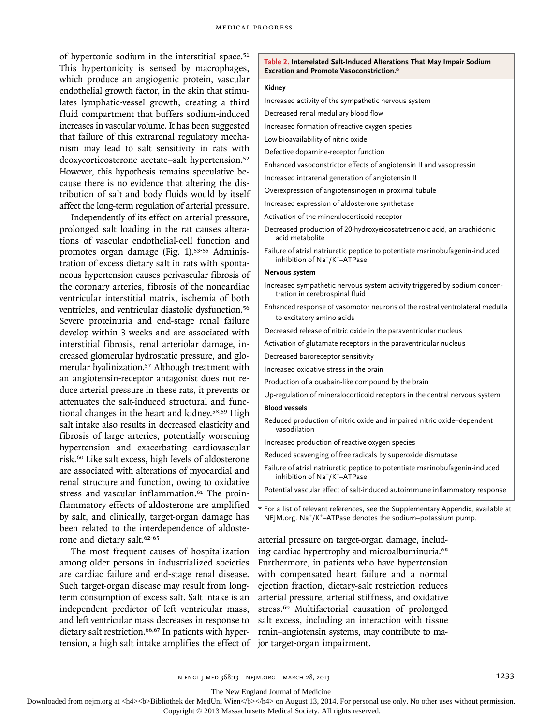of hypertonic sodium in the interstitial space.<sup>51</sup> This hypertonicity is sensed by macrophages, which produce an angiogenic protein, vascular endothelial growth factor, in the skin that stimulates lymphatic-vessel growth, creating a third fluid compartment that buffers sodium-induced increases in vascular volume. It has been suggested that failure of this extrarenal regulatory mechanism may lead to salt sensitivity in rats with deoxycorticosterone acetate–salt hypertension.<sup>52</sup> However, this hypothesis remains speculative because there is no evidence that altering the distribution of salt and body fluids would by itself affect the long-term regulation of arterial pressure.

Independently of its effect on arterial pressure, prolonged salt loading in the rat causes alterations of vascular endothelial-cell function and promotes organ damage (Fig. 1).<sup>53-55</sup> Administration of excess dietary salt in rats with spontaneous hypertension causes perivascular fibrosis of the coronary arteries, fibrosis of the noncardiac ventricular interstitial matrix, ischemia of both ventricles, and ventricular diastolic dysfunction.<sup>56</sup> Severe proteinuria and end-stage renal failure develop within 3 weeks and are associated with interstitial fibrosis, renal arteriolar damage, increased glomerular hydrostatic pressure, and glomerular hyalinization.<sup>57</sup> Although treatment with an angiotensin-receptor antagonist does not reduce arterial pressure in these rats, it prevents or attenuates the salt-induced structural and functional changes in the heart and kidney.58,59 High salt intake also results in decreased elasticity and fibrosis of large arteries, potentially worsening hypertension and exacerbating cardiovascular risk.60 Like salt excess, high levels of aldosterone are associated with alterations of myocardial and renal structure and function, owing to oxidative stress and vascular inflammation.<sup>61</sup> The proinflammatory effects of aldosterone are amplified by salt, and clinically, target-organ damage has been related to the interdependence of aldosterone and dietary salt.62-65

The most frequent causes of hospitalization among older persons in industrialized societies are cardiac failure and end-stage renal disease. Such target-organ disease may result from longterm consumption of excess salt. Salt intake is an independent predictor of left ventricular mass, and left ventricular mass decreases in response to dietary salt restriction.<sup>66,67</sup> In patients with hypertension, a high salt intake amplifies the effect of jor target-organ impairment.

**Table 2. Interrelated Salt-Induced Alterations That May Impair Sodium Excretion and Promote Vasoconstriction.\***

#### **Kidney**

Increased activity of the sympathetic nervous system

Decreased renal medullary blood flow

Increased formation of reactive oxygen species

Low bioavailability of nitric oxide

- Defective dopamine-receptor function
- Enhanced vasoconstrictor effects of angiotensin II and vasopressin
- Increased intrarenal generation of angiotensin II
- Overexpression of angiotensinogen in proximal tubule

Increased expression of aldosterone synthetase

- Activation of the mineralocorticoid receptor
- Decreased production of 20-hydroxyeicosatetraenoic acid, an arachidonic acid metabolite
- Failure of atrial natriuretic peptide to potentiate marinobufagenin-induced inhibition of Na+/K+–ATPase

## **Nervous system**

- Increased sympathetic nervous system activity triggered by sodium concentration in cerebrospinal fluid
- Enhanced response of vasomotor neurons of the rostral ventrolateral medulla to excitatory amino acids
- Decreased release of nitric oxide in the paraventricular nucleus
- Activation of glutamate receptors in the paraventricular nucleus

Decreased baroreceptor sensitivity

- Increased oxidative stress in the brain
- Production of a ouabain-like compound by the brain
- Up-regulation of mineralocorticoid receptors in the central nervous system

## **Blood vessels**

- Reduced production of nitric oxide and impaired nitric oxide–dependent vasodilation
- Increased production of reactive oxygen species
- Reduced scavenging of free radicals by superoxide dismutase
- Failure of atrial natriuretic peptide to potentiate marinobufagenin-induced inhibition of Na+/K+–ATPase
- Potential vascular effect of salt-induced autoimmune inflammatory response

\* For a list of relevant references, see the Supplementary Appendix, available at NEJM.org. Na+/K+–ATPase denotes the sodium–potassium pump.

arterial pressure on target-organ damage, including cardiac hypertrophy and microalbuminuria.<sup>68</sup> Furthermore, in patients who have hypertension with compensated heart failure and a normal ejection fraction, dietary-salt restriction reduces arterial pressure, arterial stiffness, and oxidative stress.69 Multifactorial causation of prolonged salt excess, including an interaction with tissue renin–angiotensin systems, may contribute to ma-

The New England Journal of Medicine

Downloaded from nejm.org at <h4><b>Bibliothek der MedUni Wien</b>></h4> on August 13, 2014. For personal use only. No other uses without permission.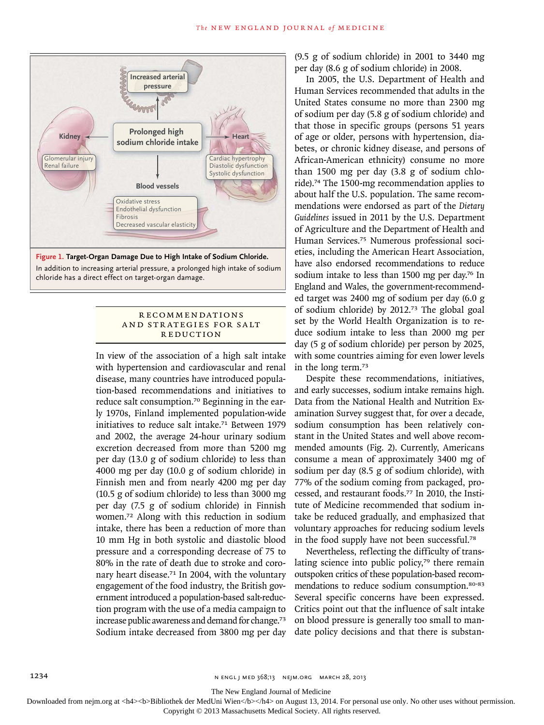

In addition to increasing arterial pressure, a prolonged high intake of sodium  $\overline{a}$ chloride has a direct effect on target-organ damage. Kotchen

#### **RECOMMENDATIONS** AND STRATEGIES FOR SALT REDUCTION AUTHOR PLEASE

Title ME

Laurencot

In view of the association of a high salt intake with hypertension and cardiovascular and renal disease, many countries have introduced population-based recommendations and initiatives to reduce salt consumption.70 Beginning in the early 1970s, Finland implemented population-wide initiatives to reduce salt intake.<sup>71</sup> Between 1979 and 2002, the average 24-hour urinary sodium excretion decreased from more than 5200 mg per day (13.0 g of sodium chloride) to less than 4000 mg per day (10.0 g of sodium chloride) in Finnish men and from nearly 4200 mg per day (10.5 g of sodium chloride) to less than 3000 mg per day (7.5 g of sodium chloride) in Finnish women.72 Along with this reduction in sodium intake, there has been a reduction of more than 10 mm Hg in both systolic and diastolic blood pressure and a corresponding decrease of 75 to 80% in the rate of death due to stroke and coronary heart disease.<sup>71</sup> In 2004, with the voluntary engagement of the food industry, the British government introduced a population-based salt-reduction program with the use of a media campaign to increase public awareness and demand for change.<sup>73</sup> Sodium intake decreased from 3800 mg per day

(9.5 g of sodium chloride) in 2001 to 3440 mg per day (8.6 g of sodium chloride) in 2008.

In 2005, the U.S. Department of Health and Human Services recommended that adults in the United States consume no more than 2300 mg of sodium per day (5.8 g of sodium chloride) and that those in specific groups (persons 51 years of age or older, persons with hypertension, diabetes, or chronic kidney disease, and persons of African-American ethnicity) consume no more than 1500 mg per day (3.8 g of sodium chloride).74 The 1500-mg recommendation applies to about half the U.S. population. The same recommendations were endorsed as part of the *Dietary Guidelines* issued in 2011 by the U.S. Department of Agriculture and the Department of Health and Human Services.75 Numerous professional societies, including the American Heart Association, have also endorsed recommendations to reduce sodium intake to less than 1500 mg per day.<sup>76</sup> In England and Wales, the government-recommended target was 2400 mg of sodium per day (6.0 g of sodium chloride) by 2012.73 The global goal set by the World Health Organization is to reduce sodium intake to less than 2000 mg per day (5 g of sodium chloride) per person by 2025, with some countries aiming for even lower levels in the long term.<sup>73</sup>

Despite these recommendations, initiatives, and early successes, sodium intake remains high. Data from the National Health and Nutrition Examination Survey suggest that, for over a decade, sodium consumption has been relatively constant in the United States and well above recommended amounts (Fig. 2). Currently, Americans consume a mean of approximately 3400 mg of sodium per day (8.5 g of sodium chloride), with 77% of the sodium coming from packaged, processed, and restaurant foods.77 In 2010, the Institute of Medicine recommended that sodium intake be reduced gradually, and emphasized that voluntary approaches for reducing sodium levels in the food supply have not been successful.<sup>78</sup>

Nevertheless, reflecting the difficulty of translating science into public policy, $79$  there remain outspoken critics of these population-based recommendations to reduce sodium consumption.<sup>80-83</sup> Several specific concerns have been expressed. Critics point out that the influence of salt intake on blood pressure is generally too small to mandate policy decisions and that there is substan-

The New England Journal of Medicine

Downloaded from nejm.org at <h4><b>Bibliothek der MedUni Wien</b>></h4> on August 13, 2014. For personal use only. No other uses without permission.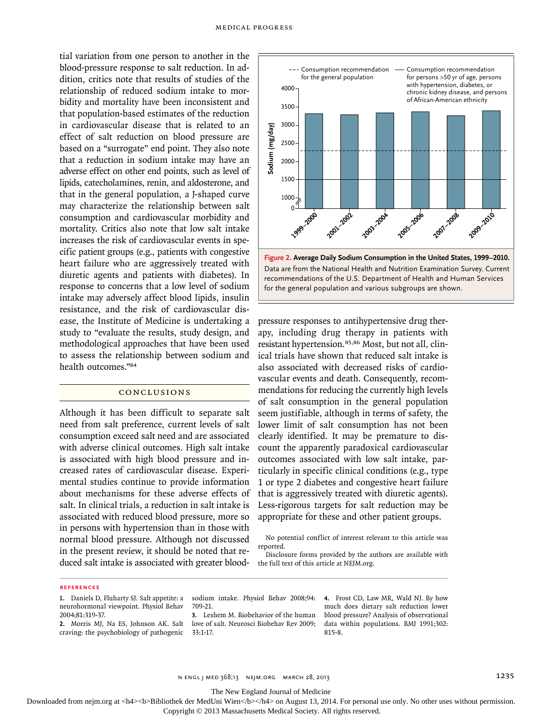tial variation from one person to another in the blood-pressure response to salt reduction. In addition, critics note that results of studies of the relationship of reduced sodium intake to morbidity and mortality have been inconsistent and that population-based estimates of the reduction in cardiovascular disease that is related to an effect of salt reduction on blood pressure are based on a "surrogate" end point. They also note that a reduction in sodium intake may have an adverse effect on other end points, such as level of lipids, catecholamines, renin, and aldosterone, and that in the general population, a J-shaped curve may characterize the relationship between salt consumption and cardiovascular morbidity and mortality. Critics also note that low salt intake increases the risk of cardiovascular events in specific patient groups (e.g., patients with congestive heart failure who are aggressively treated with diuretic agents and patients with diabetes). In response to concerns that a low level of sodium intake may adversely affect blood lipids, insulin resistance, and the risk of cardiovascular disease, the Institute of Medicine is undertaking a study to "evaluate the results, study design, and methodological approaches that have been used to assess the relationship between sodium and health outcomes."<sup>84</sup>

## CONCLUSIONS

Although it has been difficult to separate salt need from salt preference, current levels of salt consumption exceed salt need and are associated with adverse clinical outcomes. High salt intake is associated with high blood pressure and increased rates of cardiovascular disease. Experimental studies continue to provide information about mechanisms for these adverse effects of salt. In clinical trials, a reduction in salt intake is associated with reduced blood pressure, more so in persons with hypertension than in those with normal blood pressure. Although not discussed in the present review, it should be noted that reduced salt intake is associated with greater blood-



pressure responses to antihypertensive drug therapy, including drug therapy in patients with resistant hypertension.85,86 Most, but not all, clinical trials have shown that reduced salt intake is also associated with decreased risks of cardiovascular events and death. Consequently, recommendations for reducing the currently high levels of salt consumption in the general population seem justifiable, although in terms of safety, the lower limit of salt consumption has not been clearly identified. It may be premature to discount the apparently paradoxical cardiovascular outcomes associated with low salt intake, particularly in specific clinical conditions (e.g., type 1 or type 2 diabetes and congestive heart failure that is aggressively treated with diuretic agents). Less-rigorous targets for salt reduction may be appropriate for these and other patient groups. The matrix of the general population and variation of the general population and variation of the general population and variation of the general population and variations of the U.S. Dep for the general population and va

No potential conflict of interest relevant to this article was reported.

Disclosure forms provided by the authors are available with the full text of this article at NEJM.org.

### **REFERENCES**

- **1.** Daniels D, Fluharty SJ. Salt appetite: a neurohormonal viewpoint. Physiol Behav 2004;81:319-37.
- **2.** Morris MJ, Na ES, Johnson AK. Salt craving: the psychobiology of pathogenic

sodium intake. Physiol Behav 2008;94: 709-21.

**3.** Leshem M. Biobehavior of the human love of salt. Neurosci Biobehav Rev 2009; 33:1-17.

**4.** Frost CD, Law MR, Wald NJ. By how much does dietary salt reduction lower blood pressure? Analysis of observational data within populations. BMJ 1991;302: 815-8.

n engl j med 368;13 nejm.org march 28, 2013 1235

The New England Journal of Medicine

Downloaded from nejm.org at <h4><b>Bibliothek der MedUni Wien</b>></h4> on August 13, 2014. For personal use only. No other uses without permission. Copyright © 2013 Massachusetts Medical Society. All rights reserved.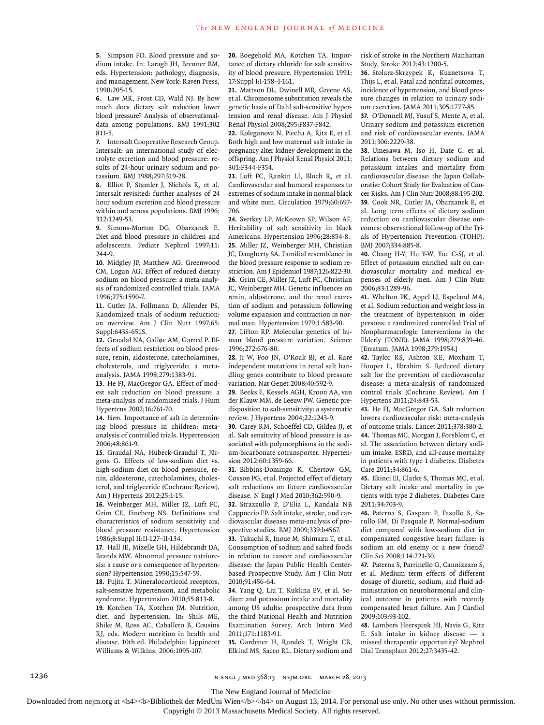**5.** Simpson FO. Blood pressure and sodium intake. In: Laragh JH, Brenner BM, eds. Hypertension: pathology, diagnosis, and management. New York: Raven Press, 1990:205-15.

**6.** Law MR, Frost CD, Wald NJ. By how much does dietary salt reduction lower blood pressure? Analysis of observationaldata among populations. BMJ 1991;302 811-5.

**7.** Intersalt Cooperative Research Group. Intersalt: an international study of electrolyte excretion and blood pressure: results of 24-hour urinary sodium and potassium. BMJ 1988;297:319-28.

**8.** Elliot P, Stamler J, Nichols R, et al. Intersalt revisited: further analyses of 24 hour sodium excretion and blood pressure within and across populations. BMJ 1996; 312:1249-53.

**9.** Simons-Morton DG, Obarzanek E. Diet and blood pressure in children and adolescents. Pediatr Nephrol 1997;11: 244-9.

**10.** Midgley JP, Matthew AG, Greenwood CM, Logan AG. Effect of reduced dietary sodium on blood pressure: a meta-analysis of randomized controlled trials. JAMA 1996;275:1590-7.

**11.** Cutler JA, Follmann D, Allender PS. Randomized trials of sodium reduction: an overview. Am J Clin Nutr 1997;65: Suppl:643S-651S.

**12.** Graudal NA, Galløe AM, Garred P. Effects of sodium restriction on blood pressure, renin, aldosterone, catecholamines, cholesterols, and triglyceride: a metaanalysis. JAMA 1998;279:1383-91.

**13.** He FJ, MacGregor GA. Effect of modest salt reduction on blood pressure: a meta-analysis of randomized trials. J Hum Hypertens 2002;16:761-70.

**14.** *Idem*. Importance of salt in determining blood pressure in children: metaanalysis of controlled trials. Hypertension 2006;48:861-9.

**15.** Graudal NA, Hubeck-Graudal T, Jürgens G. Effects of low-sodium diet vs. high-sodium diet on blood pressure, renin, aldosterone, catecholamines, cholesterol, and triglyceride (Cochrane Review). Am J Hypertens 2012;25:1-15.

**16.** Weinberger MH, Miller JZ, Luft FC, Grim CE, Fineberg NS. Definitions and characteristics of sodium sensitivity and blood pressure resistance. Hypertension 1986;8:Suppl II:II-127–II-134.

**17.** Hall JE, Mizelle GH, Hildebrandt DA, Brands MW. Abnormal pressure natriuresis: a cause or a consequence of hypertension? Hypertension 1990;15:547-59.

**18.** Fujita T. Mineralocorticoid receptors, salt-sensitive hypertension, and metabolic syndrome. Hypertension 2010;55:813-8. **19.** Kotchen TA, Kotchen JM. Nutrition, diet, and hypertension. In: Shils ME, Shike M, Ross AC, Caballero B, Cousins RJ, eds. Modern nutrition in health and disease. 10th ed. Philadelphia: Lippincott Williams & Wilkins, 2006:1095-107.

**20.** Boegehold MA, Kotchen TA. Importance of dietary chloride for salt sensitivity of blood pressure. Hypertension 1991; 17:Suppl I:I-158–I-161.

**21.** Mattson DL, Dwinell MR, Greene AS, et al. Chromosome substitution reveals the genetic basis of Dahl salt-sensitive hypertension and renal disease. Am J Physiol Renal Physiol 2008;295:F837-F842.

**22.** Koleganova N, Piecha A, Ritz E, et al. Both high and low maternal salt intake in pregnancy alter kidney development in the offspring. Am J Physiol Renal Physiol 2011; 301:F344-F354.

**23.** Luft FC, Rankin LI, Bloch R, et al. Cardiovascular and humoral responses to extremes of sodium intake in normal black and white men. Circulation 1979;60:697- 706.

**24.** Svetkey LP, McKeown SP, Wilson AF. Heritability of salt sensitivity in black Americans. Hypertension 1996;28:854-8. **25.** Miller JZ, Weinberger MH, Christian JC, Daugherty SA. Familial resemblance in the blood pressure response to sodium restriction. Am J Epidemiol 1987;126:822-30. **26.** Grim CE, Miller JZ, Luft FC, Christian JC, Weinberger MH. Genetic influences on renin, aldosterone, and the renal excretion of sodium and potassium following volume expansion and contraction in normal man. Hypertension 1979;1:583-90.

**27.** Lifton RP. Molecular genetics of human blood pressure variation. Science 1996;272:676-80.

**28.** Ji W, Foo JN, O'Roak BJ, et al. Rare independent mutations in renal salt handling genes contribute to blood pressure variation. Nat Genet 2008;40:592-9.

**29.** Beeks E, Kessels AGH, Kroon AA, van der Klauw MM, de Leeuw PW. Genetic predisposition to salt-sensitivity: a systematic review. J Hypertens 2004;22:1243-9.

**30.** Carey RM, Schoeffel CD, Gildea JJ, et al. Salt sensitivity of blood pressure is associated with polymorphisms in the sodium-bicarbonate cotransporter. Hypertension 2012;60:1359-66.

**31.** Bibbins-Domingo K, Chertow GM, Coxson PG, et al. Projected effect of dietary salt reductions on future cardiovascular disease. N Engl J Med 2010;362:590-9.

**32.** Strazzullo P, D'Elia L, Kandala NB Cappuccio FP. Salt intake, stroke, and cardiovascular disease: meta-analysis of prospective studies. BMJ 2009:339:b4567.

**33.** Takachi R, Inoue M, Shimazu T, et al. Consumption of sodium and salted foods in relation to cancer and cardiovascular disease: the Japan Public Health Centerbased Prospective Study. Am J Clin Nutr 2010;91:456-64.

**34.** Yang Q, Liu T, Kuklina EV, et al. Sodium and potassium intake and mortality among US adults: prospective data from the third National Health and Nutrition Examination Survey. Arch Intern Med 2011;171:1183-91.

**35.** Gardener H, Rundek T, Wright CB, Elkind MS, Sacco RL. Dietary sodium and risk of stroke in the Northern Manhattan Study. Stroke 2012;43:1200-5.

**36.** Stolarz-Skrzypek K, Kuznetsova T, Thijs L, et al. Fatal and nonfatal outcomes, incidence of hypertension, and blood pressure changes in relation to urinary sodium excretion. JAMA 2011;305:1777-85.

**37.** O'Donnell MJ, Yusuf S, Mente A, et al. Urinary sodium and potassium excretion and risk of cardiovascular events. JAMA 2011;306:2229-38.

**38.** Umesawa M, Iso H, Date C, et al. Relations between dietary sodium and potassium intakes and mortality from cardiovascular disease: the Japan Collaborative Cohort Study for Evaluation of Cancer Risks. Am J Clin Nutr 2008;88:195-202. **39.** Cook NR, Cutler JA, Obarzanek E, et al. Long term effects of dietary sodium reduction on cardiovascular disease outcomes: observational follow-up of the Trials of Hypertension Prevention (TOHP). BMJ 2007;334:885-8.

**40.** Chang H-Y, Hu Y-W, Yue C-SJ, et al. Effect of potassium enriched salt on cardiovascular mortality and medical expenses of elderly men. Am J Clin Nutr 2006;83:1289-96.

**41.** Whelton PK, Appel LJ, Espeland MA, et al. Sodium reduction and weight loss in the treatment of hypertension in older persons: a randomized controlled Trial of Nonpharmacologic Interventions in the Elderly (TONE). JAMA 1998;279:839-46. [Erratum, JAMA 1998;279:1954.]

**42.** Taylor RS, Ashton KE, Moxham T, Hooper L, Ebrahim S. Reduced dietary salt for the prevention of cardiovascular disease: a meta-analysis of randomized control trials (Cochrane Review). Am J Hypertens 2011;24:843-53.

**43.** He FJ, MacGregor GA. Salt reduction lowers cardiovascular risk: meta-analysis of outcome trials. Lancet 2011;378:380-2. **44.** Thomas MC, Morgan J, Forsblom C, et

al. The association between dietary sodium intake, ESRD, and all-cause mortality in patients with type 1 diabetes. Diabetes Care 2011;34:861-6.

**45.** Ekinci EI, Clarke S, Thomas MC, et al. Dietary salt intake and mortality in patients with type 2 diabetes. Diabetes Care 2011;34:703-9.

**46.** Paterna S, Gaspare P, Fasullo S, Sarullo FM, Di Pasquale P. Normal-sodium diet compared with low-sodium diet in compensated congestive heart failure: is sodium an old enemy or a new friend? Clin Sci 2008;114:221-30.

**47.** Paterna S, Parrinello G, Cannizzaro S, et al. Medium term effects of different dosage of diuretic, sodium, and fluid administration on neurohormonal and clinical outcome in patients with recently compensated heart failure. Am J Cardiol 2009;103:93-102.

**48.** Lambers Heerspink HJ, Navis G, Ritz E. Salt intake in kidney disease — a missed therapeutic opportunity? Nephrol Dial Transplant 2012;27:3435-42.

1236 **n ENGL J MED 368;13 NEIM.ORG MARCH 28, 2013** 

The New England Journal of Medicine

Downloaded from nejm.org at <h4><b>Bibliothek der MedUni Wien</b>></h4> on August 13, 2014. For personal use only. No other uses without permission.